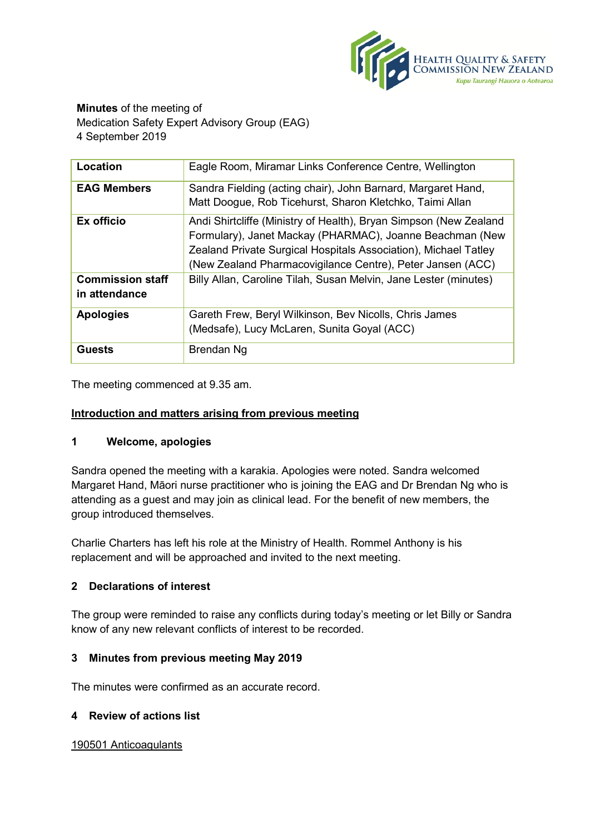

**Minutes** of the meeting of Medication Safety Expert Advisory Group (EAG) 4 September 2019

| Location                                 | Eagle Room, Miramar Links Conference Centre, Wellington                                                                                                                                                                                                        |
|------------------------------------------|----------------------------------------------------------------------------------------------------------------------------------------------------------------------------------------------------------------------------------------------------------------|
| <b>EAG Members</b>                       | Sandra Fielding (acting chair), John Barnard, Margaret Hand,<br>Matt Doogue, Rob Ticehurst, Sharon Kletchko, Taimi Allan                                                                                                                                       |
| Ex officio                               | Andi Shirtcliffe (Ministry of Health), Bryan Simpson (New Zealand<br>Formulary), Janet Mackay (PHARMAC), Joanne Beachman (New<br>Zealand Private Surgical Hospitals Association), Michael Tatley<br>(New Zealand Pharmacovigilance Centre), Peter Jansen (ACC) |
| <b>Commission staff</b><br>in attendance | Billy Allan, Caroline Tilah, Susan Melvin, Jane Lester (minutes)                                                                                                                                                                                               |
| <b>Apologies</b>                         | Gareth Frew, Beryl Wilkinson, Bev Nicolls, Chris James<br>(Medsafe), Lucy McLaren, Sunita Goyal (ACC)                                                                                                                                                          |
| <b>Guests</b>                            | Brendan Ng                                                                                                                                                                                                                                                     |

The meeting commenced at 9.35 am.

## **Introduction and matters arising from previous meeting**

### **1 Welcome, apologies**

Sandra opened the meeting with a karakia. Apologies were noted. Sandra welcomed Margaret Hand, Māori nurse practitioner who is joining the EAG and Dr Brendan Ng who is attending as a guest and may join as clinical lead. For the benefit of new members, the group introduced themselves.

Charlie Charters has left his role at the Ministry of Health. Rommel Anthony is his replacement and will be approached and invited to the next meeting.

# **2 Declarations of interest**

The group were reminded to raise any conflicts during today's meeting or let Billy or Sandra know of any new relevant conflicts of interest to be recorded.

### **3 Minutes from previous meeting May 2019**

The minutes were confirmed as an accurate record.

### **4 Review of actions list**

### 190501 Anticoagulants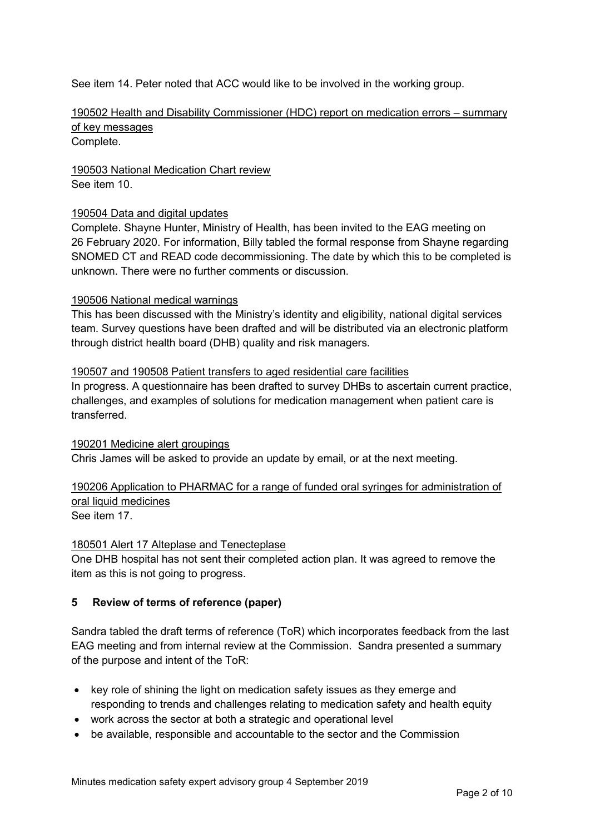See item 14. Peter noted that ACC would like to be involved in the working group.

# 190502 Health and Disability Commissioner (HDC) report on medication errors – summary of key messages

Complete.

190503 National Medication Chart review See item 10.

### 190504 Data and digital updates

Complete. Shayne Hunter, Ministry of Health, has been invited to the EAG meeting on 26 February 2020. For information, Billy tabled the formal response from Shayne regarding SNOMED CT and READ code decommissioning. The date by which this to be completed is unknown. There were no further comments or discussion.

### 190506 National medical warnings

This has been discussed with the Ministry's identity and eligibility, national digital services team. Survey questions have been drafted and will be distributed via an electronic platform through district health board (DHB) quality and risk managers.

### 190507 and 190508 Patient transfers to aged residential care facilities

In progress. A questionnaire has been drafted to survey DHBs to ascertain current practice, challenges, and examples of solutions for medication management when patient care is transferred.

### 190201 Medicine alert groupings

Chris James will be asked to provide an update by email, or at the next meeting.

# 190206 Application to PHARMAC for a range of funded oral syringes for administration of oral liquid medicines

See item 17.

### 180501 Alert 17 Alteplase and Tenecteplase

One DHB hospital has not sent their completed action plan. It was agreed to remove the item as this is not going to progress.

### **5 Review of terms of reference (paper)**

Sandra tabled the draft terms of reference (ToR) which incorporates feedback from the last EAG meeting and from internal review at the Commission. Sandra presented a summary of the purpose and intent of the ToR:

- key role of shining the light on medication safety issues as they emerge and responding to trends and challenges relating to medication safety and health equity
- work across the sector at both a strategic and operational level
- be available, responsible and accountable to the sector and the Commission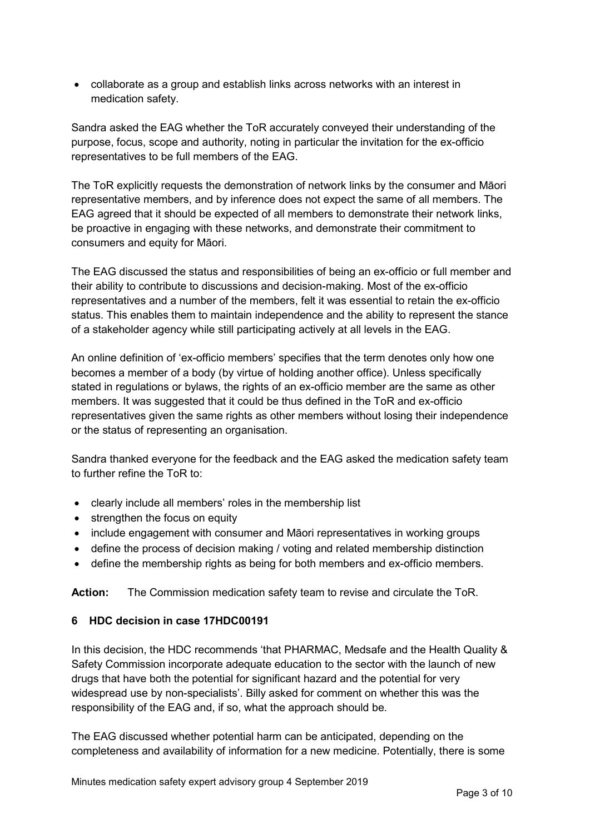• collaborate as a group and establish links across networks with an interest in medication safety.

Sandra asked the EAG whether the ToR accurately conveyed their understanding of the purpose, focus, scope and authority, noting in particular the invitation for the ex-officio representatives to be full members of the EAG.

The ToR explicitly requests the demonstration of network links by the consumer and Māori representative members, and by inference does not expect the same of all members. The EAG agreed that it should be expected of all members to demonstrate their network links, be proactive in engaging with these networks, and demonstrate their commitment to consumers and equity for Māori.

The EAG discussed the status and responsibilities of being an ex-officio or full member and their ability to contribute to discussions and decision-making. Most of the ex-officio representatives and a number of the members, felt it was essential to retain the ex-officio status. This enables them to maintain independence and the ability to represent the stance of a stakeholder agency while still participating actively at all levels in the EAG.

An online definition of 'ex-officio members' specifies that the term denotes only how one becomes a member of a body (by virtue of holding another office). Unless specifically stated in regulations or bylaws, the rights of an ex-officio member are the same as other members. It was suggested that it could be thus defined in the ToR and ex-officio representatives given the same rights as other members without losing their independence or the status of representing an organisation.

Sandra thanked everyone for the feedback and the EAG asked the medication safety team to further refine the ToR to:

- clearly include all members' roles in the membership list
- strengthen the focus on equity
- include engagement with consumer and Māori representatives in working groups
- define the process of decision making / voting and related membership distinction
- define the membership rights as being for both members and ex-officio members.

**Action:** The Commission medication safety team to revise and circulate the ToR.

# **6 HDC decision in case 17HDC00191**

In this decision, the HDC recommends 'that PHARMAC, Medsafe and the Health Quality & Safety Commission incorporate adequate education to the sector with the launch of new drugs that have both the potential for significant hazard and the potential for very widespread use by non-specialists'. Billy asked for comment on whether this was the responsibility of the EAG and, if so, what the approach should be.

The EAG discussed whether potential harm can be anticipated, depending on the completeness and availability of information for a new medicine. Potentially, there is some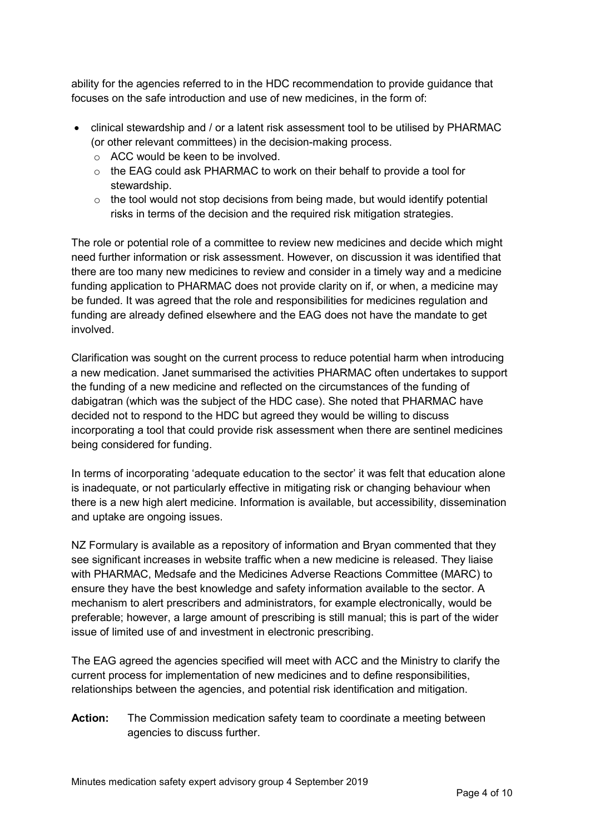ability for the agencies referred to in the HDC recommendation to provide guidance that focuses on the safe introduction and use of new medicines, in the form of:

- clinical stewardship and / or a latent risk assessment tool to be utilised by PHARMAC (or other relevant committees) in the decision-making process.
	- o ACC would be keen to be involved.
	- $\circ$  the EAG could ask PHARMAC to work on their behalf to provide a tool for stewardship.
	- $\circ$  the tool would not stop decisions from being made, but would identify potential risks in terms of the decision and the required risk mitigation strategies.

The role or potential role of a committee to review new medicines and decide which might need further information or risk assessment. However, on discussion it was identified that there are too many new medicines to review and consider in a timely way and a medicine funding application to PHARMAC does not provide clarity on if, or when, a medicine may be funded. It was agreed that the role and responsibilities for medicines regulation and funding are already defined elsewhere and the EAG does not have the mandate to get involved.

Clarification was sought on the current process to reduce potential harm when introducing a new medication. Janet summarised the activities PHARMAC often undertakes to support the funding of a new medicine and reflected on the circumstances of the funding of dabigatran (which was the subject of the HDC case). She noted that PHARMAC have decided not to respond to the HDC but agreed they would be willing to discuss incorporating a tool that could provide risk assessment when there are sentinel medicines being considered for funding.

In terms of incorporating 'adequate education to the sector' it was felt that education alone is inadequate, or not particularly effective in mitigating risk or changing behaviour when there is a new high alert medicine. Information is available, but accessibility, dissemination and uptake are ongoing issues.

NZ Formulary is available as a repository of information and Bryan commented that they see significant increases in website traffic when a new medicine is released. They liaise with PHARMAC, Medsafe and the Medicines Adverse Reactions Committee (MARC) to ensure they have the best knowledge and safety information available to the sector. A mechanism to alert prescribers and administrators, for example electronically, would be preferable; however, a large amount of prescribing is still manual; this is part of the wider issue of limited use of and investment in electronic prescribing.

The EAG agreed the agencies specified will meet with ACC and the Ministry to clarify the current process for implementation of new medicines and to define responsibilities, relationships between the agencies, and potential risk identification and mitigation.

**Action:** The Commission medication safety team to coordinate a meeting between agencies to discuss further.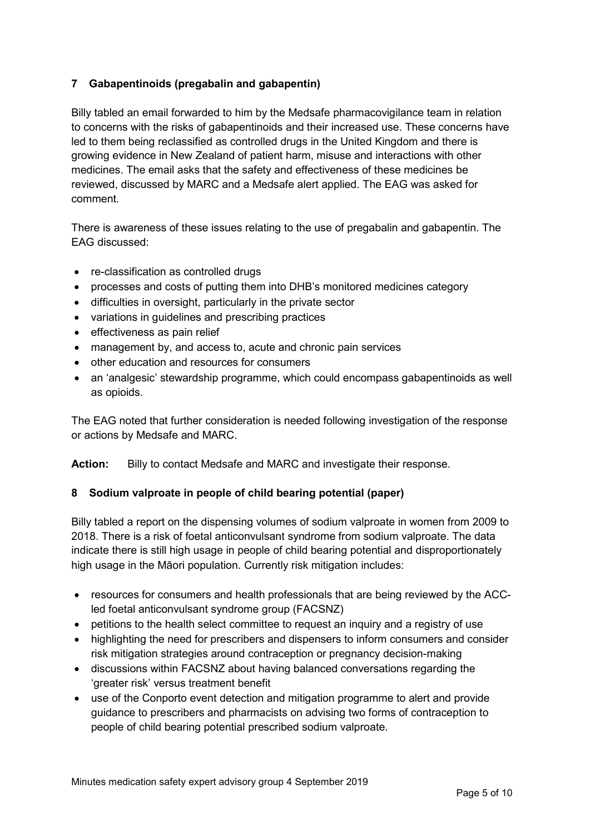# **7 Gabapentinoids (pregabalin and gabapentin)**

Billy tabled an email forwarded to him by the Medsafe pharmacovigilance team in relation to concerns with the risks of gabapentinoids and their increased use. These concerns have led to them being reclassified as controlled drugs in the United Kingdom and there is growing evidence in New Zealand of patient harm, misuse and interactions with other medicines. The email asks that the safety and effectiveness of these medicines be reviewed, discussed by MARC and a Medsafe alert applied. The EAG was asked for comment.

There is awareness of these issues relating to the use of pregabalin and gabapentin. The EAG discussed:

- re-classification as controlled drugs
- processes and costs of putting them into DHB's monitored medicines category
- difficulties in oversight, particularly in the private sector
- variations in guidelines and prescribing practices
- effectiveness as pain relief
- management by, and access to, acute and chronic pain services
- other education and resources for consumers
- an 'analgesic' stewardship programme, which could encompass gabapentinoids as well as opioids.

The EAG noted that further consideration is needed following investigation of the response or actions by Medsafe and MARC.

**Action:** Billy to contact Medsafe and MARC and investigate their response.

# **8 Sodium valproate in people of child bearing potential (paper)**

Billy tabled a report on the dispensing volumes of sodium valproate in women from 2009 to 2018. There is a risk of foetal anticonvulsant syndrome from sodium valproate. The data indicate there is still high usage in people of child bearing potential and disproportionately high usage in the Māori population. Currently risk mitigation includes:

- resources for consumers and health professionals that are being reviewed by the ACCled foetal anticonvulsant syndrome group (FACSNZ)
- petitions to the health select committee to request an inquiry and a registry of use
- highlighting the need for prescribers and dispensers to inform consumers and consider risk mitigation strategies around contraception or pregnancy decision-making
- discussions within FACSNZ about having balanced conversations regarding the 'greater risk' versus treatment benefit
- use of the Conporto event detection and mitigation programme to alert and provide guidance to prescribers and pharmacists on advising two forms of contraception to people of child bearing potential prescribed sodium valproate.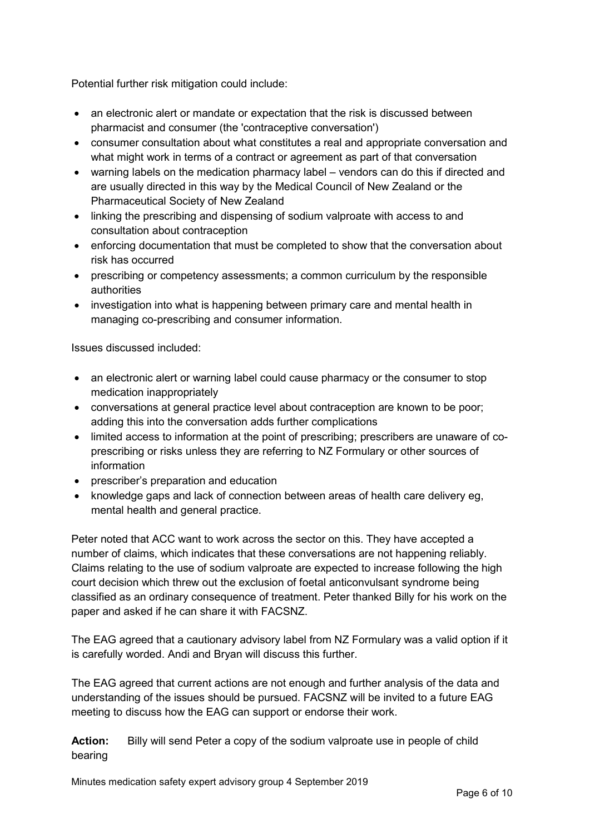Potential further risk mitigation could include:

- an electronic alert or mandate or expectation that the risk is discussed between pharmacist and consumer (the 'contraceptive conversation')
- consumer consultation about what constitutes a real and appropriate conversation and what might work in terms of a contract or agreement as part of that conversation
- warning labels on the medication pharmacy label vendors can do this if directed and are usually directed in this way by the Medical Council of New Zealand or the Pharmaceutical Society of New Zealand
- linking the prescribing and dispensing of sodium valproate with access to and consultation about contraception
- enforcing documentation that must be completed to show that the conversation about risk has occurred
- prescribing or competency assessments; a common curriculum by the responsible authorities
- investigation into what is happening between primary care and mental health in managing co-prescribing and consumer information.

Issues discussed included:

- an electronic alert or warning label could cause pharmacy or the consumer to stop medication inappropriately
- conversations at general practice level about contraception are known to be poor; adding this into the conversation adds further complications
- limited access to information at the point of prescribing; prescribers are unaware of coprescribing or risks unless they are referring to NZ Formulary or other sources of information
- prescriber's preparation and education
- knowledge gaps and lack of connection between areas of health care delivery eg, mental health and general practice.

Peter noted that ACC want to work across the sector on this. They have accepted a number of claims, which indicates that these conversations are not happening reliably. Claims relating to the use of sodium valproate are expected to increase following the high court decision which threw out the exclusion of foetal anticonvulsant syndrome being classified as an ordinary consequence of treatment. Peter thanked Billy for his work on the paper and asked if he can share it with FACSNZ.

The EAG agreed that a cautionary advisory label from NZ Formulary was a valid option if it is carefully worded. Andi and Bryan will discuss this further.

The EAG agreed that current actions are not enough and further analysis of the data and understanding of the issues should be pursued. FACSNZ will be invited to a future EAG meeting to discuss how the EAG can support or endorse their work.

**Action:** Billy will send Peter a copy of the sodium valproate use in people of child bearing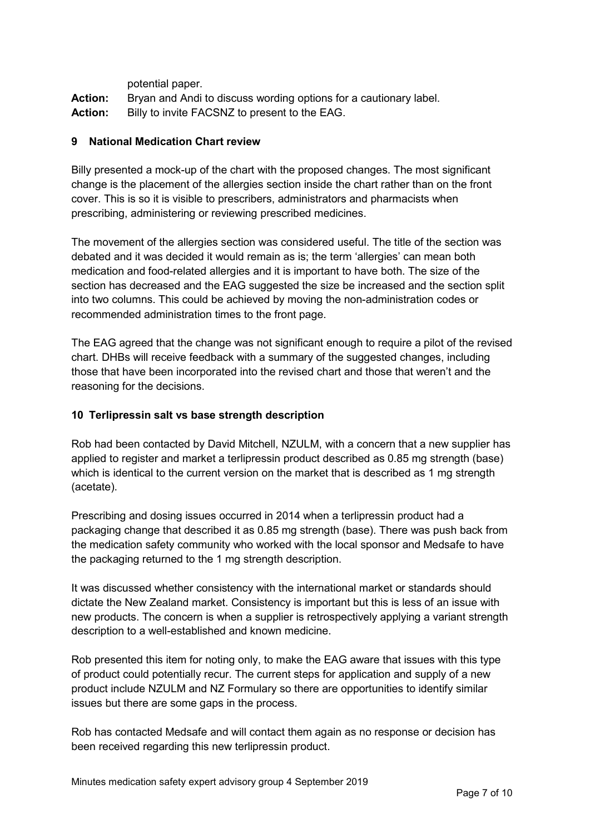potential paper.

Action: Bryan and Andi to discuss wording options for a cautionary label. **Action:** Billy to invite FACSNZ to present to the EAG.

## **9 National Medication Chart review**

Billy presented a mock-up of the chart with the proposed changes. The most significant change is the placement of the allergies section inside the chart rather than on the front cover. This is so it is visible to prescribers, administrators and pharmacists when prescribing, administering or reviewing prescribed medicines.

The movement of the allergies section was considered useful. The title of the section was debated and it was decided it would remain as is; the term 'allergies' can mean both medication and food-related allergies and it is important to have both. The size of the section has decreased and the EAG suggested the size be increased and the section split into two columns. This could be achieved by moving the non-administration codes or recommended administration times to the front page.

The EAG agreed that the change was not significant enough to require a pilot of the revised chart. DHBs will receive feedback with a summary of the suggested changes, including those that have been incorporated into the revised chart and those that weren't and the reasoning for the decisions.

## **10 Terlipressin salt vs base strength description**

Rob had been contacted by David Mitchell, NZULM, with a concern that a new supplier has applied to register and market a terlipressin product described as 0.85 mg strength (base) which is identical to the current version on the market that is described as 1 mg strength (acetate).

Prescribing and dosing issues occurred in 2014 when a terlipressin product had a packaging change that described it as 0.85 mg strength (base). There was push back from the medication safety community who worked with the local sponsor and Medsafe to have the packaging returned to the 1 mg strength description.

It was discussed whether consistency with the international market or standards should dictate the New Zealand market. Consistency is important but this is less of an issue with new products. The concern is when a supplier is retrospectively applying a variant strength description to a well-established and known medicine.

Rob presented this item for noting only, to make the EAG aware that issues with this type of product could potentially recur. The current steps for application and supply of a new product include NZULM and NZ Formulary so there are opportunities to identify similar issues but there are some gaps in the process.

Rob has contacted Medsafe and will contact them again as no response or decision has been received regarding this new terlipressin product.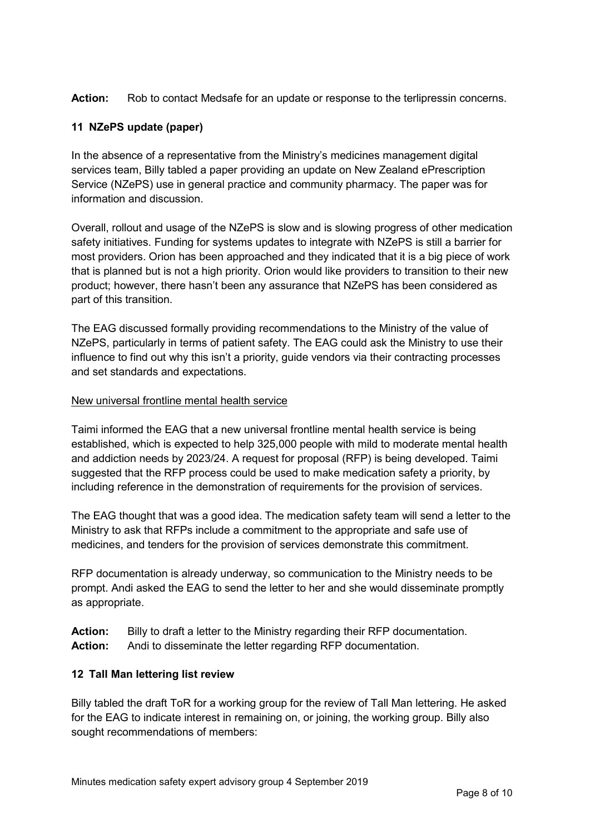**Action:** Rob to contact Medsafe for an update or response to the terlipressin concerns.

## **11 NZePS update (paper)**

In the absence of a representative from the Ministry's medicines management digital services team, Billy tabled a paper providing an update on New Zealand ePrescription Service (NZePS) use in general practice and community pharmacy. The paper was for information and discussion.

Overall, rollout and usage of the NZePS is slow and is slowing progress of other medication safety initiatives. Funding for systems updates to integrate with NZePS is still a barrier for most providers. Orion has been approached and they indicated that it is a big piece of work that is planned but is not a high priority. Orion would like providers to transition to their new product; however, there hasn't been any assurance that NZePS has been considered as part of this transition.

The EAG discussed formally providing recommendations to the Ministry of the value of NZePS, particularly in terms of patient safety. The EAG could ask the Ministry to use their influence to find out why this isn't a priority, guide vendors via their contracting processes and set standards and expectations.

### New universal frontline mental health service

Taimi informed the EAG that a new universal frontline mental health service is being established, which is expected to help 325,000 people with mild to moderate mental health and addiction needs by 2023/24. A request for proposal (RFP) is being developed. Taimi suggested that the RFP process could be used to make medication safety a priority, by including reference in the demonstration of requirements for the provision of services.

The EAG thought that was a good idea. The medication safety team will send a letter to the Ministry to ask that RFPs include a commitment to the appropriate and safe use of medicines, and tenders for the provision of services demonstrate this commitment.

RFP documentation is already underway, so communication to the Ministry needs to be prompt. Andi asked the EAG to send the letter to her and she would disseminate promptly as appropriate.

**Action:** Billy to draft a letter to the Ministry regarding their RFP documentation. **Action:** Andi to disseminate the letter regarding RFP documentation.

### **12 Tall Man lettering list review**

Billy tabled the draft ToR for a working group for the review of Tall Man lettering. He asked for the EAG to indicate interest in remaining on, or joining, the working group. Billy also sought recommendations of members: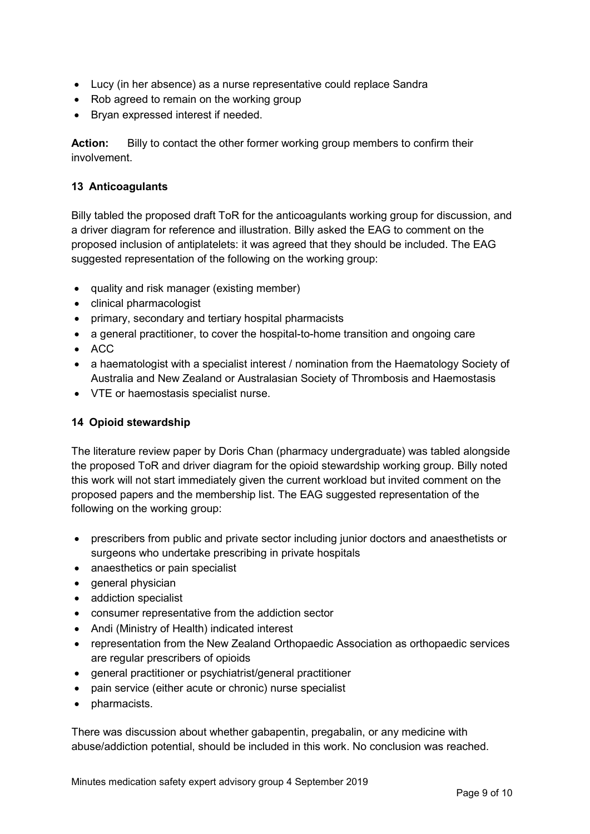- Lucy (in her absence) as a nurse representative could replace Sandra
- Rob agreed to remain on the working group
- Bryan expressed interest if needed.

**Action:** Billy to contact the other former working group members to confirm their involvement.

### **13 Anticoagulants**

Billy tabled the proposed draft ToR for the anticoagulants working group for discussion, and a driver diagram for reference and illustration. Billy asked the EAG to comment on the proposed inclusion of antiplatelets: it was agreed that they should be included. The EAG suggested representation of the following on the working group:

- quality and risk manager (existing member)
- clinical pharmacologist
- primary, secondary and tertiary hospital pharmacists
- a general practitioner, to cover the hospital-to-home transition and ongoing care
- ACC
- a haematologist with a specialist interest / nomination from the Haematology Society of Australia and New Zealand or Australasian Society of Thrombosis and Haemostasis
- VTE or haemostasis specialist nurse.

### **14 Opioid stewardship**

The literature review paper by Doris Chan (pharmacy undergraduate) was tabled alongside the proposed ToR and driver diagram for the opioid stewardship working group. Billy noted this work will not start immediately given the current workload but invited comment on the proposed papers and the membership list. The EAG suggested representation of the following on the working group:

- prescribers from public and private sector including junior doctors and anaesthetists or surgeons who undertake prescribing in private hospitals
- anaesthetics or pain specialist
- general physician
- addiction specialist
- consumer representative from the addiction sector
- Andi (Ministry of Health) indicated interest
- representation from the New Zealand Orthopaedic Association as orthopaedic services are regular prescribers of opioids
- general practitioner or psychiatrist/general practitioner
- pain service (either acute or chronic) nurse specialist
- pharmacists.

There was discussion about whether gabapentin, pregabalin, or any medicine with abuse/addiction potential, should be included in this work. No conclusion was reached.